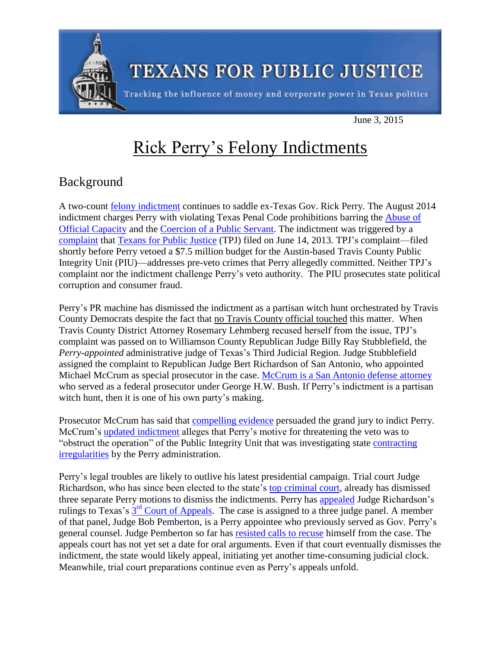

June 3, 2015

## Rick Perry's Felony Indictments

## Background

A two-count [felony indictment](http://s3.amazonaws.com/static.texastribune.org/media/documents/D-1-DC-14-100139_2962.PDF) continues to saddle ex-Texas Gov. Rick Perry. The August 2014 indictment charges Perry with violating Texas Penal Code prohibitions barring the [Abuse of](http://www.statutes.legis.state.tx.us/Docs/PE/htm/PE.39.htm)  [Official Capacity](http://www.statutes.legis.state.tx.us/Docs/PE/htm/PE.39.htm) and the [Coercion of a Public Servant.](http://www.statutes.legis.state.tx.us/Docs/PE/htm/PE.36.htm) The indictment was triggered by a [complaint](http://info.tpj.org/press_releases/pdf/PerryDAthreat.pr.pdf) that [Texans for Public Justice](http://www.tpj.org/) (TPJ) filed on June 14, 2013. TPJ's complaint—filed shortly before Perry vetoed a \$7.5 million budget for the Austin-based Travis County Public Integrity Unit (PIU)—addresses pre-veto crimes that Perry allegedly committed. Neither TPJ's complaint nor the indictment challenge Perry's veto authority. The PIU prosecutes state political corruption and consumer fraud.

Perry's PR machine has dismissed the indictment as a partisan witch hunt orchestrated by Travis County Democrats despite the fact that no Travis County official touched this matter. When Travis County District Attorney Rosemary Lehmberg recused herself from the issue, TPJ's complaint was passed on to Williamson County Republican Judge Billy Ray Stubblefield, the *Perry-appointed* administrative judge of Texas's Third Judicial Region. Judge Stubblefield assigned the complaint to Republican Judge Bert Richardson of San Antonio, who appointed Michael McCrum as special prosecutor in the case. [McCrum is a San Antonio defense attorney](http://www.dallasnews.com/news/politics/state-politics/20140816-perrys-prosecutor-isnt-prone-to-partisanship-say-those-who-know-him.ece) who served as a federal prosecutor under George H.W. Bush. If Perry's indictment is a partisan witch hunt, then it is one of his own party's making.

Prosecutor McCrum has said that [compelling](http://trailblazersblog.dallasnews.com/2015/04/perry-prosecutor-say-his-indictment-is-clear-and-justified.html/) evidence persuaded the grand jury to indict Perry. McCrum's [updated indictment](http://info.tpj.org/press_releases/pdf/Perryindictupdate.2.14.15.pdf) alleges that Perry's motive for threatening the veto was to "obstruct the operation" of the Public Integrity Unit that was investigating state [contracting](http://www.houstonchronicle.com/news/politics/texas/article/Perry-veto-killed-investigation-into-no-bid-6021479.php)  [irregularities](http://www.houstonchronicle.com/news/politics/texas/article/Perry-veto-killed-investigation-into-no-bid-6021479.php) by the Perry administration.

Perry's legal troubles are likely to outlive his latest presidential campaign. Trial court Judge Richardson, who has since been elected to the state's [top criminal court,](http://www.txcourts.gov/cca/about-the-court/judges.aspx) already has dismissed three separate Perry motions to dismiss the indictments. Perry has [appealed](http://s3.amazonaws.com/static.texastribune.org/media/documents/Perry3rd.pdf) Judge Richardson's rulings to Texas's  $3<sup>rd</sup>$  [Court of Appeals.](http://www.search.txcourts.gov/Case.aspx?cn=03-15-00063-CR&coa=coa03) The case is assigned to a three judge panel. A member of that panel, Judge Bob Pemberton, is a Perry appointee who previously served as Gov. Perry's general counsel. Judge Pemberton so far has [resisted calls](http://www.texastribune.org/2015/05/04/experts-see-grounds-recusal-perry-appeal/) to recuse himself from the case. The appeals court has not yet set a date for oral arguments. Even if that court eventually dismisses the indictment, the state would likely appeal, initiating yet another time-consuming judicial clock. Meanwhile, trial court preparations continue even as Perry's appeals unfold.